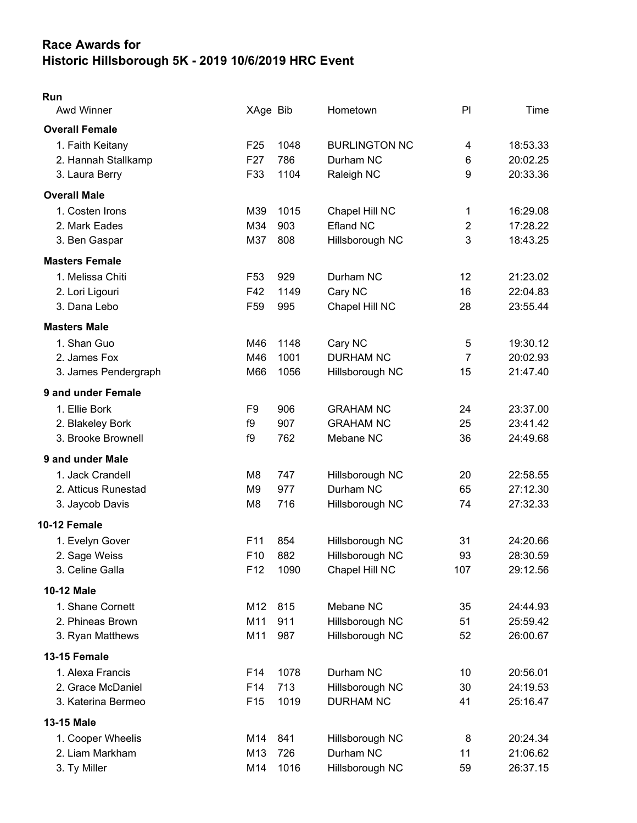## Race Awards for Historic Hillsborough 5K - 2019 10/6/2019 HRC Event

## Run

| Awd Winner            | XAge Bib        |      | Hometown             | P <sub>1</sub> | Time     |
|-----------------------|-----------------|------|----------------------|----------------|----------|
| <b>Overall Female</b> |                 |      |                      |                |          |
| 1. Faith Keitany      | F <sub>25</sub> | 1048 | <b>BURLINGTON NC</b> | 4              | 18:53.33 |
| 2. Hannah Stallkamp   | F <sub>27</sub> | 786  | Durham NC            | 6              | 20:02.25 |
| 3. Laura Berry        | F33             | 1104 | Raleigh NC           | 9              | 20:33.36 |
| <b>Overall Male</b>   |                 |      |                      |                |          |
| 1. Costen Irons       | M39             | 1015 | Chapel Hill NC       | $\mathbf{1}$   | 16:29.08 |
| 2. Mark Eades         | M34             | 903  | <b>Efland NC</b>     | $\overline{2}$ | 17:28.22 |
| 3. Ben Gaspar         | M37             | 808  | Hillsborough NC      | 3              | 18:43.25 |
| <b>Masters Female</b> |                 |      |                      |                |          |
| 1. Melissa Chiti      | F <sub>53</sub> | 929  | Durham NC            | 12             | 21:23.02 |
| 2. Lori Ligouri       | F42             | 1149 | Cary NC              | 16             | 22:04.83 |
| 3. Dana Lebo          | F <sub>59</sub> | 995  | Chapel Hill NC       | 28             | 23:55.44 |
| <b>Masters Male</b>   |                 |      |                      |                |          |
| 1. Shan Guo           | M46             | 1148 | Cary NC              | 5              | 19:30.12 |
| 2. James Fox          | M46             | 1001 | <b>DURHAM NC</b>     | $\overline{7}$ | 20:02.93 |
| 3. James Pendergraph  | M66             | 1056 | Hillsborough NC      | 15             | 21:47.40 |
| 9 and under Female    |                 |      |                      |                |          |
| 1. Ellie Bork         | F9              | 906  | <b>GRAHAM NC</b>     | 24             | 23:37.00 |
| 2. Blakeley Bork      | f9              | 907  | <b>GRAHAM NC</b>     | 25             | 23:41.42 |
| 3. Brooke Brownell    | f9              | 762  | Mebane NC            | 36             | 24:49.68 |
| 9 and under Male      |                 |      |                      |                |          |
| 1. Jack Crandell      | M8              | 747  | Hillsborough NC      | 20             | 22:58.55 |
| 2. Atticus Runestad   | M <sub>9</sub>  | 977  | Durham NC            | 65             | 27:12.30 |
| 3. Jaycob Davis       | M <sub>8</sub>  | 716  | Hillsborough NC      | 74             | 27:32.33 |
| 10-12 Female          |                 |      |                      |                |          |
| 1. Evelyn Gover       | F11             | 854  | Hillsborough NC      | 31             | 24:20.66 |
| 2. Sage Weiss         | F10             | 882  | Hillsborough NC      | 93             | 28:30.59 |
| 3. Celine Galla       | F12             | 1090 | Chapel Hill NC       | 107            | 29:12.56 |
| <b>10-12 Male</b>     |                 |      |                      |                |          |
| 1. Shane Cornett      | M12             | 815  | Mebane NC            | 35             | 24:44.93 |
| 2. Phineas Brown      | M11             | 911  | Hillsborough NC      | 51             | 25:59.42 |
| 3. Ryan Matthews      | M11             | 987  | Hillsborough NC      | 52             | 26:00.67 |
| 13-15 Female          |                 |      |                      |                |          |
| 1. Alexa Francis      | F <sub>14</sub> | 1078 | Durham NC            | 10             | 20:56.01 |
| 2. Grace McDaniel     | F14             | 713  | Hillsborough NC      | 30             | 24:19.53 |
| 3. Katerina Bermeo    | F <sub>15</sub> | 1019 | <b>DURHAM NC</b>     | 41             | 25:16.47 |
| 13-15 Male            |                 |      |                      |                |          |
| 1. Cooper Wheelis     | M14             | 841  | Hillsborough NC      | 8              | 20:24.34 |
| 2. Liam Markham       | M13             | 726  | Durham NC            | 11             | 21:06.62 |
| 3. Ty Miller          | M14             | 1016 | Hillsborough NC      | 59             | 26:37.15 |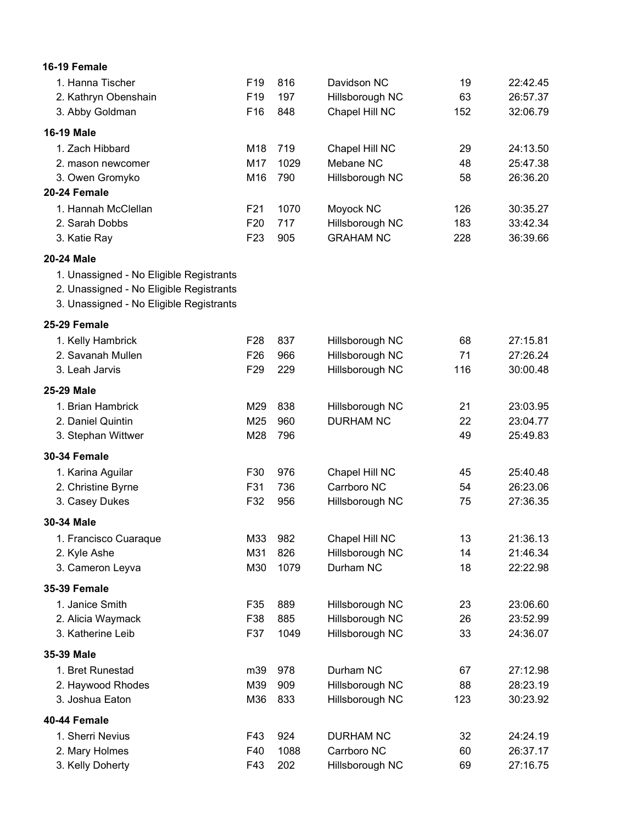| 16-19 Female                            |                 |      |                  |     |          |
|-----------------------------------------|-----------------|------|------------------|-----|----------|
| 1. Hanna Tischer                        | F <sub>19</sub> | 816  | Davidson NC      | 19  | 22:42.45 |
| 2. Kathryn Obenshain                    | F19             | 197  | Hillsborough NC  | 63  | 26:57.37 |
| 3. Abby Goldman                         | F16             | 848  | Chapel Hill NC   | 152 | 32:06.79 |
| <b>16-19 Male</b>                       |                 |      |                  |     |          |
| 1. Zach Hibbard                         | M18             | 719  | Chapel Hill NC   | 29  | 24:13.50 |
| 2. mason newcomer                       | M17             | 1029 | Mebane NC        | 48  | 25:47.38 |
| 3. Owen Gromyko                         | M16             | 790  | Hillsborough NC  | 58  | 26:36.20 |
| 20-24 Female                            |                 |      |                  |     |          |
| 1. Hannah McClellan                     | F21             | 1070 | Moyock NC        | 126 | 30:35.27 |
| 2. Sarah Dobbs                          | F <sub>20</sub> | 717  | Hillsborough NC  | 183 | 33:42.34 |
| 3. Katie Ray                            | F <sub>23</sub> | 905  | <b>GRAHAM NC</b> | 228 | 36:39.66 |
| 20-24 Male                              |                 |      |                  |     |          |
| 1. Unassigned - No Eligible Registrants |                 |      |                  |     |          |
| 2. Unassigned - No Eligible Registrants |                 |      |                  |     |          |
| 3. Unassigned - No Eligible Registrants |                 |      |                  |     |          |
| 25-29 Female                            |                 |      |                  |     |          |
| 1. Kelly Hambrick                       | F <sub>28</sub> | 837  | Hillsborough NC  | 68  | 27:15.81 |
| 2. Savanah Mullen                       | F <sub>26</sub> | 966  | Hillsborough NC  | 71  | 27:26.24 |
| 3. Leah Jarvis                          | F <sub>29</sub> | 229  | Hillsborough NC  | 116 | 30:00.48 |
| 25-29 Male                              |                 |      |                  |     |          |
| 1. Brian Hambrick                       | M29             | 838  | Hillsborough NC  | 21  | 23:03.95 |
| 2. Daniel Quintin                       | M25             | 960  | <b>DURHAM NC</b> | 22  | 23:04.77 |
| 3. Stephan Wittwer                      | M28             | 796  |                  | 49  | 25:49.83 |
| <b>30-34 Female</b>                     |                 |      |                  |     |          |
| 1. Karina Aguilar                       | F30             | 976  | Chapel Hill NC   | 45  | 25:40.48 |
| 2. Christine Byrne                      | F31             | 736  | Carrboro NC      | 54  | 26:23.06 |
| 3. Casey Dukes                          | F32             | 956  | Hillsborough NC  | 75  | 27:36.35 |
| 30-34 Male                              |                 |      |                  |     |          |
| 1. Francisco Cuaraque                   | M33             | 982  | Chapel Hill NC   | 13  | 21:36.13 |
| 2. Kyle Ashe                            | M31             | 826  | Hillsborough NC  | 14  | 21:46.34 |
| 3. Cameron Leyva                        | M30             | 1079 | Durham NC        | 18  | 22:22.98 |
| <b>35-39 Female</b>                     |                 |      |                  |     |          |
| 1. Janice Smith                         | F35             | 889  | Hillsborough NC  | 23  | 23:06.60 |
| 2. Alicia Waymack                       | F38             | 885  | Hillsborough NC  | 26  | 23:52.99 |
| 3. Katherine Leib                       | F37             | 1049 | Hillsborough NC  | 33  | 24:36.07 |
| 35-39 Male                              |                 |      |                  |     |          |
| 1. Bret Runestad                        | m39             | 978  | Durham NC        | 67  | 27:12.98 |
| 2. Haywood Rhodes                       | M39             | 909  | Hillsborough NC  | 88  | 28:23.19 |
| 3. Joshua Eaton                         | M36             | 833  | Hillsborough NC  | 123 | 30:23.92 |
| 40-44 Female                            |                 |      |                  |     |          |
| 1. Sherri Nevius                        | F43             | 924  | <b>DURHAM NC</b> | 32  | 24:24.19 |
| 2. Mary Holmes                          | F40             | 1088 | Carrboro NC      | 60  | 26:37.17 |
| 3. Kelly Doherty                        | F43             | 202  | Hillsborough NC  | 69  | 27:16.75 |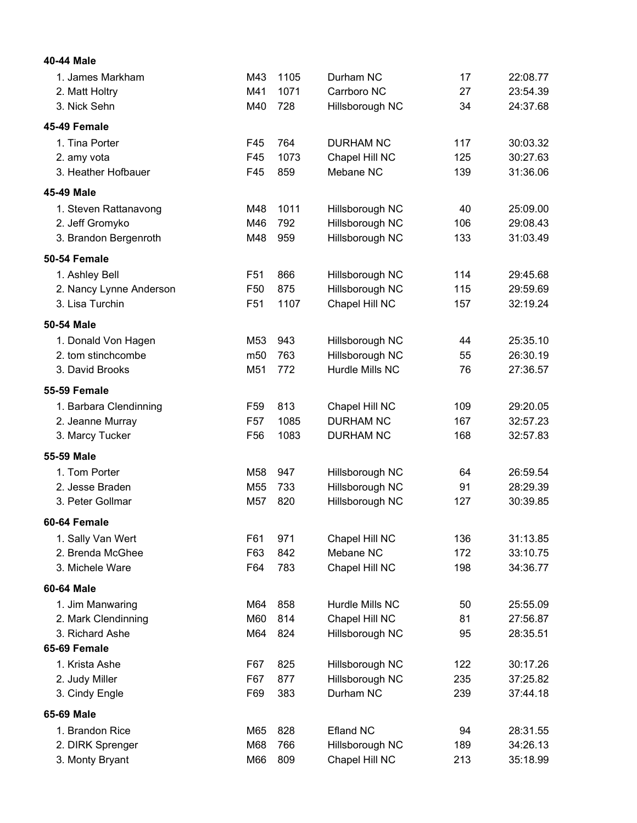| 40-44 Male              |                 |      |                  |     |          |
|-------------------------|-----------------|------|------------------|-----|----------|
| 1. James Markham        | M43             | 1105 | Durham NC        | 17  | 22:08.77 |
| 2. Matt Holtry          | M41             | 1071 | Carrboro NC      | 27  | 23:54.39 |
| 3. Nick Sehn            | M40             | 728  | Hillsborough NC  | 34  | 24:37.68 |
| 45-49 Female            |                 |      |                  |     |          |
| 1. Tina Porter          | F45             | 764  | <b>DURHAM NC</b> | 117 | 30:03.32 |
| 2. amy vota             | F45             | 1073 | Chapel Hill NC   | 125 | 30:27.63 |
| 3. Heather Hofbauer     | F45             | 859  | Mebane NC        | 139 | 31:36.06 |
| 45-49 Male              |                 |      |                  |     |          |
| 1. Steven Rattanavong   | M48             | 1011 | Hillsborough NC  | 40  | 25:09.00 |
| 2. Jeff Gromyko         | M46             | 792  | Hillsborough NC  | 106 | 29:08.43 |
| 3. Brandon Bergenroth   | M48             | 959  | Hillsborough NC  | 133 | 31:03.49 |
| 50-54 Female            |                 |      |                  |     |          |
| 1. Ashley Bell          | F <sub>51</sub> | 866  | Hillsborough NC  | 114 | 29:45.68 |
| 2. Nancy Lynne Anderson | F <sub>50</sub> | 875  | Hillsborough NC  | 115 | 29:59.69 |
| 3. Lisa Turchin         | F51             | 1107 | Chapel Hill NC   | 157 | 32:19.24 |
| 50-54 Male              |                 |      |                  |     |          |
| 1. Donald Von Hagen     | M <sub>53</sub> | 943  | Hillsborough NC  | 44  | 25:35.10 |
| 2. tom stinchcombe      | m <sub>50</sub> | 763  | Hillsborough NC  | 55  | 26:30.19 |
| 3. David Brooks         | M51             | 772  | Hurdle Mills NC  | 76  | 27:36.57 |
| 55-59 Female            |                 |      |                  |     |          |
| 1. Barbara Clendinning  | F <sub>59</sub> | 813  | Chapel Hill NC   | 109 | 29:20.05 |
| 2. Jeanne Murray        | F <sub>57</sub> | 1085 | <b>DURHAM NC</b> | 167 | 32:57.23 |
| 3. Marcy Tucker         | F <sub>56</sub> | 1083 | <b>DURHAM NC</b> | 168 | 32:57.83 |
| 55-59 Male              |                 |      |                  |     |          |
| 1. Tom Porter           | M <sub>58</sub> | 947  | Hillsborough NC  | 64  | 26:59.54 |
| 2. Jesse Braden         | M55             | 733  | Hillsborough NC  | 91  | 28:29.39 |
| 3. Peter Gollmar        | M57             | 820  | Hillsborough NC  | 127 | 30:39.85 |
| 60-64 Female            |                 |      |                  |     |          |
| 1. Sally Van Wert       | F61             | 971  | Chapel Hill NC   | 136 | 31:13.85 |
| 2. Brenda McGhee        | F63             | 842  | Mebane NC        | 172 | 33:10.75 |
| 3. Michele Ware         | F64             | 783  | Chapel Hill NC   | 198 | 34:36.77 |
| 60-64 Male              |                 |      |                  |     |          |
| 1. Jim Manwaring        | M64             | 858  | Hurdle Mills NC  | 50  | 25:55.09 |
| 2. Mark Clendinning     | M60             | 814  | Chapel Hill NC   | 81  | 27:56.87 |
| 3. Richard Ashe         | M64             | 824  | Hillsborough NC  | 95  | 28:35.51 |
| 65-69 Female            |                 |      |                  |     |          |
| 1. Krista Ashe          | F67             | 825  | Hillsborough NC  | 122 | 30:17.26 |
| 2. Judy Miller          | F67             | 877  | Hillsborough NC  | 235 | 37:25.82 |
| 3. Cindy Engle          | F69             | 383  | Durham NC        | 239 | 37:44.18 |
| 65-69 Male              |                 |      |                  |     |          |
| 1. Brandon Rice         | M65             | 828  | <b>Efland NC</b> | 94  | 28:31.55 |
| 2. DIRK Sprenger        | M68             | 766  | Hillsborough NC  | 189 | 34:26.13 |
| 3. Monty Bryant         | M66             | 809  | Chapel Hill NC   | 213 | 35:18.99 |